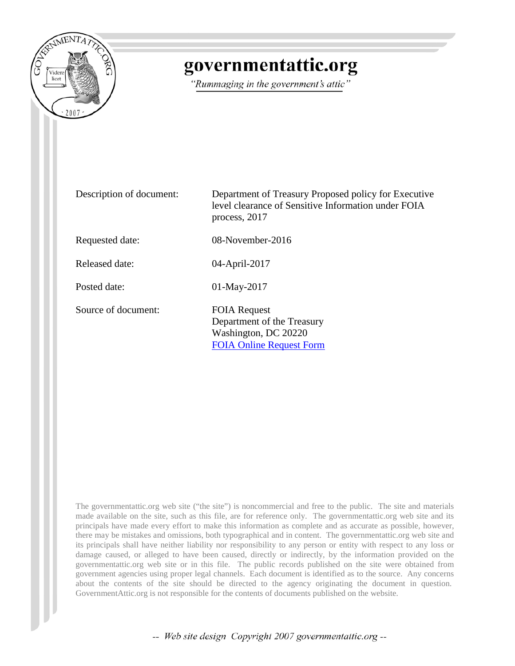

## governmentattic.org

"Rummaging in the government's attic"

| Description of document: | Department of Treasury Proposed policy for Executive<br>level clearance of Sensitive Information under FOIA<br>process, 2017 |
|--------------------------|------------------------------------------------------------------------------------------------------------------------------|
| Requested date:          | $08$ -November-2016                                                                                                          |
| Released date:           | 04-April-2017                                                                                                                |
| Posted date:             | $01$ -May-2017                                                                                                               |
| Source of document:      | <b>FOIA Request</b><br>Department of the Treasury<br>Washington, DC 20220<br><b>FOIA Online Request Form</b>                 |

The governmentattic.org web site ("the site") is noncommercial and free to the public. The site and materials made available on the site, such as this file, are for reference only. The governmentattic.org web site and its principals have made every effort to make this information as complete and as accurate as possible, however, there may be mistakes and omissions, both typographical and in content. The governmentattic.org web site and its principals shall have neither liability nor responsibility to any person or entity with respect to any loss or damage caused, or alleged to have been caused, directly or indirectly, by the information provided on the governmentattic.org web site or in this file. The public records published on the site were obtained from government agencies using proper legal channels. Each document is identified as to the source. Any concerns about the contents of the site should be directed to the agency originating the document in question. GovernmentAttic.org is not responsible for the contents of documents published on the website.

-- Web site design Copyright 2007 governmentattic.org --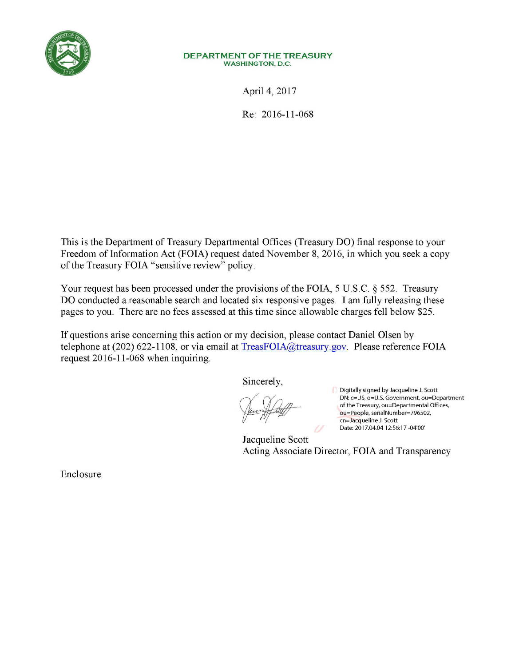

#### **DEPARTMENT OF THE TREASURY**  WASHINGTON, D.C.

April 4, 2017

Re: 2016-11-068

This is the Department of Treasury Departmental Offices (Treasury **DO)** final response to your Freedom of Information Act (FOIA) request dated November 8, 2016, in which you seek a copy of the Treasury FOIA "sensitive review" policy.

Your request has been processed under the provisions of the FOIA, 5 U.S.C. § 552. Treasury **DO** conducted a reasonable search and located six responsive pages. I am fully releasing these pages to you. There are no fees assessed at this time since allowable charges fell below \$25.

If questions arise concerning this action or my decision, please contact Daniel Olsen by telephone at (202) 622-1108, or via email at TreasFOIA@treasury.gov. Please reference FOIA request 2016-11-068 when inquiring.

Sincerely,

Digitally signed by Jacqueline J. Scott DN: c=US, o=U.S. Government, ou=Department of the Treasury, ou=Departmental Offices, ou=People, seria1Number=796502, cn=Jacqueline J. Scott Date: 2017.04.04 12:56:17 -04'00'

Jacqueline Scott Acting Associate Director, FOIA and Transparency

Enclosure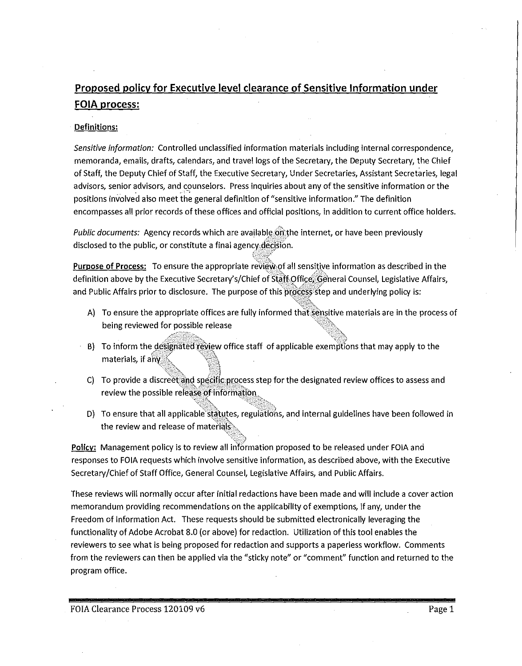### **Proposed policy for Executive level clearance of Sensitive Information under FOIA process:**

#### Definitions:

*Sensitive information:* Controlled unclassified information materials including internal correspondence, memoranda, emails, drafts, calendars, and travel logs of the Secretary, the Deputy Secretary, the Chief of Staff, the Deputy Chief of Staff, the Executive Secretary, Under Secretaries, Assistant Secretaries, legal advisors, senior advisors, and counselors. Press inquiries about any of the sensitive information or the positions involved also meet the general definition of "sensitive information." The definition encompasses all prior records of these offices and official positions, in addition to current office holders.

*Public documents:* Agency records which are available on the internet, or have been previously disclosed to the public, or constitute a final agency-decision.

Purpose of Process: To ensure the appropriate review of all sensitive information as described in the definition above by the Executive Secretary's/Chief of Staff Office, General Counsel, Legislative Affairs, and Public Affairs prior to disclosure. The purpose of this process step and underlying policy is:

A) To ensure the appropriate offices are fully informed that sensitive materials are in the process of being reviewed for possible release

-:'\_{,::~:\_:~"-

- and To inform the designated review office staff of applicable exemptions that may apply to the materials, if ahy  $\leq$  and  $\leq$
- -*it}-''.""* '21 C) To provide a discreet. and s<u>pecific pro</u>cess step for the designated review offices to assess and review the possible release of information

'\¥:~'-?\.\_ "<cc~~~f''=;~~'-

''-:°f~,:;t)

D) To ensure that all applicable statutes, regulations, and internal guidelines have been followed in  $-$  . the review and release of materials $\hat{\cdot}$ 

Policy: Management policy is to review all information proposed to be released under FOIA and responses to FOIA requests which involve sensitive information, as described above, with the Executive Secretary/Chief of Staff Office, General Counsel, Legislative Affairs, and Public Affairs.

These reviews will normally occur after initial redactions have been made and will include a cover action memorandum providing recommendations on the applicability of exemptions, if any, under the Freedom of Information Act. These requests should be submitted electronically leveraging the functionality of Adobe Acrobat 8.0 (or above) for redaction. Utilization of this tool enables the reviewers to see what is being proposed for redaction and supports a paperless workflow. Comments from the reviewers can then be applied via the "sticky note" or "comment" function and returned to the program office.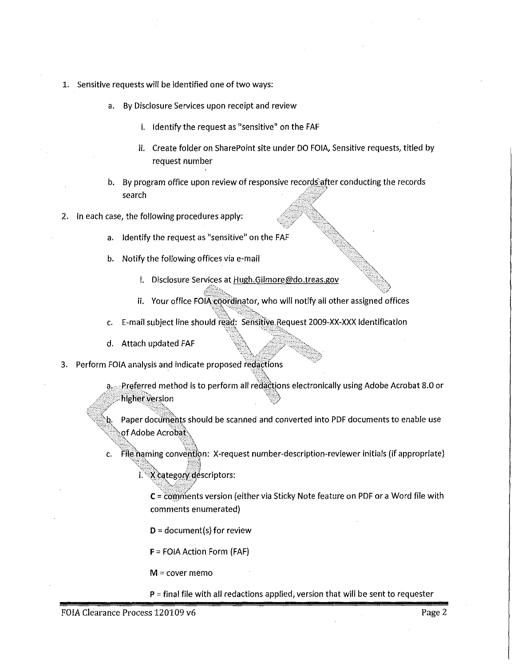- 1. Sensitive requests will be identified one of two ways:
	- a. By Disclosure Services upon receipt and review
		- i. Identify the request as "sensitive" on the FAF
		- ii. Create folder on Share Point site under DO FOIA, Sensitive requests, titled by request number
	- b. By program office upon review of responsive records after conducting the records search
- 2. In each case, the following procedures apply:
	- a. Identify the request as "sensitive" on the FAF

---~::.=,

- b. Notify the following offices via e-mail
	- i. Disclosure Services at Hugh.Gilmore@do.treas.gov

"':~",;:-;-,\_ ---o;'~:\_:-:::i."C>,\_,, ···-')\_-:.'' ·----'"'.C-'\_---:"?-.

- ii. Your office FOIA coordinator, who will notify all other assigned offices
- c. E-mail subject line should }~~\t s~llsitlye,Request 2009-XX-XXX Identification \;'\ ''>--. -- ~;{}: ·~,
- d. Attach updated FAF
- ·:-:-:/>"- ~t-":': *;/*  -------""~ 3. Perform FOIA analysis and indicate proposed redactions
	- a. Preferred method is to perform all redactions electronically using Adobe Acrobat 8.0 or  $\mathcal{L}$  is the sum of  $\mathcal{L}$  and  $\mathcal{L}$  . The slow  $\mathcal{L}$

b. Paper documents should be scanned and converted into PDF documents to enable use  $\log$ f Adobe Acrobat $\hat{\ }$ 

c. File haming convention: X-request number-description-reviewer initials (if appropriate) \;~·~·R, ~~.,1

X category descriptors:

'-<~U?\$:ft-:fv1  $C = \overline{\text{com}}$  ments version (either via Sticky Note feature on PDF or a Word file with comments enumerated}

 $D =$  document(s) for review

F = FOIA Action Form (FAF)

 $M =$  cover memo

P = final file with all redactions applied, version that will be sent to requester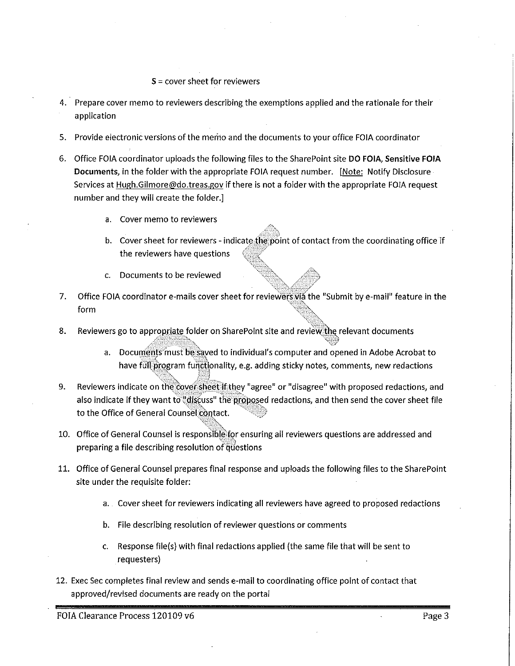#### $S =$  cover sheet for reviewers

- 4. Prepare cover memo to reviewers describing the exemptions applied and the rationale for their application
- 5. Provide electronic versions of the memo and the documents to your office FOIA coordinator
- 6. Office FOIA coordinator uploads the following files to the Share Point site **DO FOIA,** Sensitive **FOIA**  Documents, in the folder with the appropriate FOIA request number. [Note: Notify Disclosure Services at Hugh.Gilmore@do.treas.gov if there is not a folder with the appropriate FOIA request number and they will create the folder.]
	- a. Cover memo to reviewers
	- b. Cover sheet for reviewers indicate the point of contact from the coordinating office if the reviewers have questions
	- c. Documents to be reviewed
- 7. Office FOIA coordinator e-mails cover sheet for reviewers via the "Submit by e-mail" feature in the form ' *•* 1 *'8.c,,*

:-\_-----~~~;::o\_~::\_--~\_-,,,,, --Cz~~;Y

- 8. Reviewers go to appropriate folder on Share Point site and review the relevant documents
	- a. Documents must be saved to individual's computer and opened in Adobe Acrobat to have full program functlonality, e.g. adding sticky notes, comments, new redactions
- 9. •c-:'..~~t0~ :i~~~~;:c?~~ Reviewers indicate on the cover sheet if they "agree" or "disagree" with proposed redactions, and also indicate if they want to  $\frac{1}{2}$ discuss" the proposed redactions, and then send the cover sheet file to the Office of General Counsel contact.
- 10. Office of General Counsel is responsible for ensuring all reviewers questions are addressed and '--.0--:\_,-~::4 preparing a file describing resolution of questions
- 11. Office of General Counsel prepares final response and uploads the following files to the SharePoint site under the requisite folder:
	- a. Cover sheet for reviewers indicating all reviewers have agreed to proposed redactions
	- b. File describing resolution of reviewer questions or comments

.,,~~t~;-~

- c. Response file(s) with final redactions applied (the same file that will be sent to requesters)
- 12. Exec Sec completes final review and sends e-mail to coordinating office point of contact that approved/revised documents are ready on the portal

FOIA Clearance Process 120109 v6 Page 3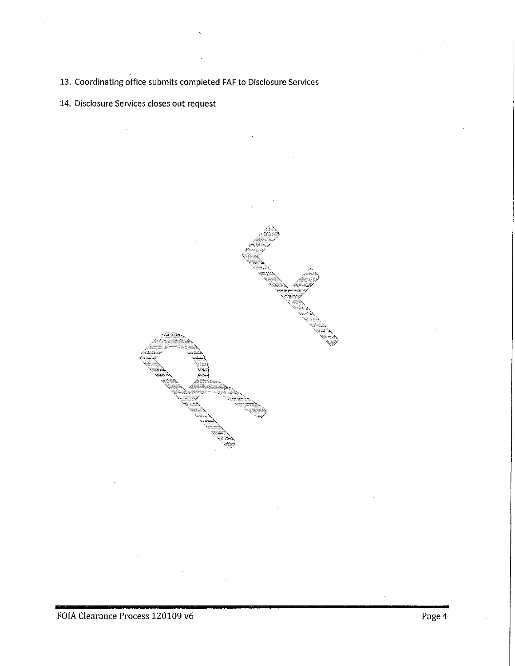13. Coordinating office submits completed FAF to Disclosure Services

14. Disclosure Services closes out request

FOIA Clearance Process 120109 v6 Page 4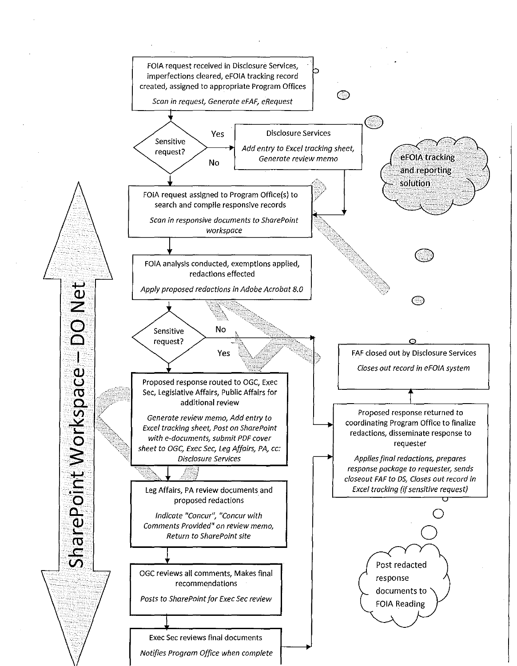